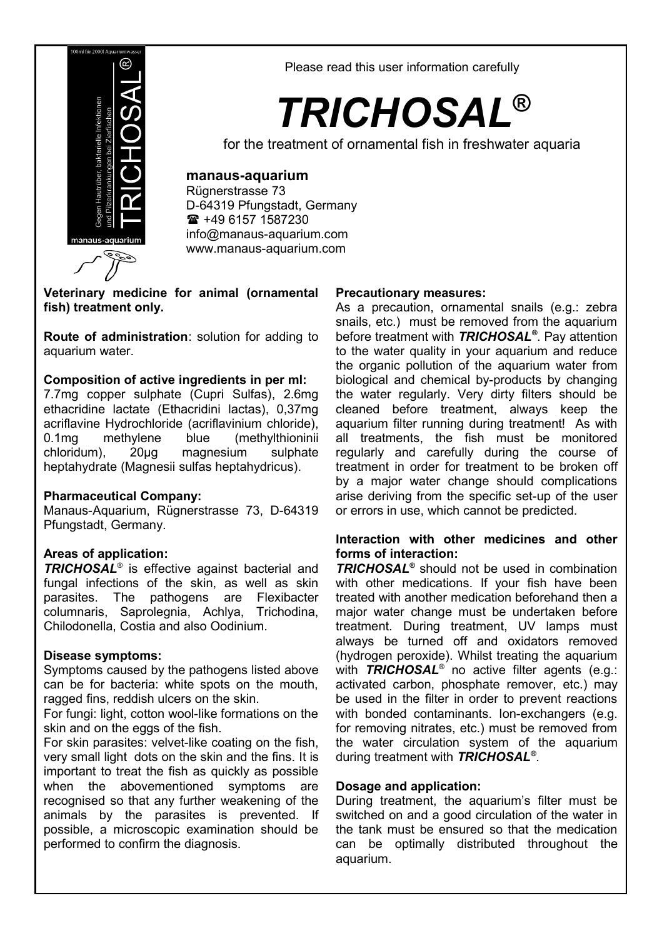

Please read this user information carefully

# *TRICHOSAL***®**

for the treatment of ornamental fish in freshwater aquaria

## **manaus-aquarium**

Rügnerstrasse 73 D-64319 Pfungstadt, Germany +49 6157 1587230 [info@manaus-aquarium.com](mailto:info@manaus-aquarium.com) www.manaus-aquarium.com

**Veterinary medicine for animal (ornamental fish) treatment only.**

**Route of administration**: solution for adding to aquarium water.

## **Composition of active ingredients in per ml:**

7.7mg copper sulphate (Cupri Sulfas), 2.6mg ethacridine lactate (Ethacridini lactas), 0,37mg acriflavine Hydrochloride (acriflavinium chloride),<br>0.1mg methylene blue (methylthioninii 0.1mg methylene blue (methylthioninii chloridum), 20μg magnesium sulphate heptahydrate (Magnesii sulfas heptahydricus).

## **Pharmaceutical Company:**

Manaus-Aquarium, Rügnerstrasse 73, D-64319 Pfungstadt, Germany.

## **Areas of application:**

*TRICHOSAL*® is effective against bacterial and fungal infections of the skin, as well as skin parasites. The pathogens are Flexibacter columnaris, Saprolegnia, Achlya, Trichodina, Chilodonella, Costia and also Oodinium.

## **Disease symptoms:**

Symptoms caused by the pathogens listed above can be for bacteria: white spots on the mouth, ragged fins, reddish ulcers on the skin.

For fungi: light, cotton wool-like formations on the skin and on the eggs of the fish.

For skin parasites: velvet-like coating on the fish, very small light dots on the skin and the fins. It is important to treat the fish as quickly as possible when the abovementioned symptoms are recognised so that any further weakening of the animals by the parasites is prevented. If possible, a microscopic examination should be performed to confirm the diagnosis.

#### **Precautionary measures:**

As a precaution, ornamental snails (e.g.: zebra snails, etc.) must be removed from the aquarium before treatment with *TRICHOSAL®* . Pay attention to the water quality in your aquarium and reduce the organic pollution of the aquarium water from biological and chemical by-products by changing the water regularly. Very dirty filters should be cleaned before treatment, always keep the aquarium filter running during treatment! As with all treatments, the fish must be monitored regularly and carefully during the course of treatment in order for treatment to be broken off by a major water change should complications arise deriving from the specific set-up of the user or errors in use, which cannot be predicted.

#### **Interaction with other medicines and other forms of interaction:**

*TRICHOSAL®* should not be used in combination with other medications. If your fish have been treated with another medication beforehand then a major water change must be undertaken before treatment. During treatment, UV lamps must always be turned off and oxidators removed (hydrogen peroxide). Whilst treating the aquarium with *TRICHOSAL*® no active filter agents (e.g.: activated carbon, phosphate remover, etc.) may be used in the filter in order to prevent reactions with bonded contaminants. Ion-exchangers (e.g. for removing nitrates, etc.) must be removed from the water circulation system of the aquarium during treatment with *TRICHOSAL®* .

## **Dosage and application:**

During treatment, the aquarium's filter must be switched on and a good circulation of the water in the tank must be ensured so that the medication can be optimally distributed throughout the aquarium.